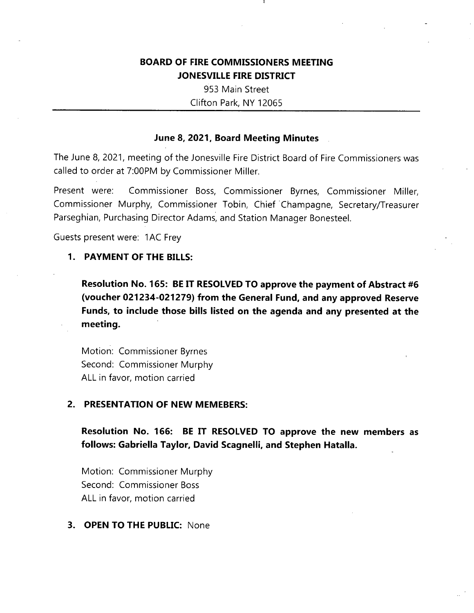## **BOARD OF FIRE COMMISSIONERS MEETING JONESVILLE FIRE DISTRICT**

953 Main Street Clifton Park, NY 12065

### **June 8, 2021, Board Meeting Minutes**

The June 8, 2021, meeting of the Jonesville Fire District Board of Fire Commissioners was called to order at 7:00PM by Commissioner Miller.

Present were: Commissioner Boss, Commissioner Byrnes, Commissioner Miller, Commissioner Murphy, Commissioner Tobin, Chief Champagne, Secretary/Treasurer Parseghian, Purchasing Director Adams, and Station Manager Bonesteel.

Guests present were: 1AC Frey

### **1**. **PAYMENT OF THE BILLS:**

**Resolution No. 165: BE IT RESOLVED TO approve the payment of Abstract #6 (voucher 021234-021279) from the General Fund, and any approved Reserve Funds, to include those bills listed on the agenda and any presented at the meeting.**

Motion: Commissioner Byrnes Second: Commissioner Murphy ALL in favor, motion carried

### **2. PRESENTATION OF NEW MEMEBERS:**

**Resolution No. 166: BE IT RESOLVED TO approve the new members as follows: Gabriella Taylor, David Scagnelli, and Stephen Hatalla.**

Motion: Commissioner Murphy Second: Commissioner Boss ALL in favor, motion carried

### **3. OPEN TO THE PUBLIC:** None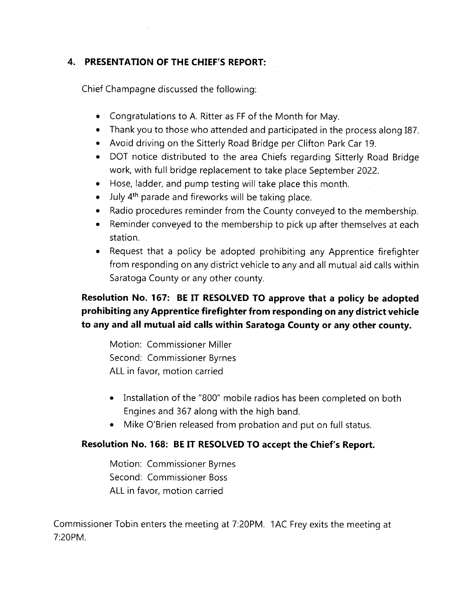# **4. PRESENTATION OF THE CHIEF'S REPORT:**

Chief Champagne discussed the following:

- Congratulations to A. Ritter as FF of the Month for May.
- Thank you to those who attended and participated in the process along 187.
- Avoid driving on the Sitterly Road Bridge per Clifton Park Car 19.
- DOT notice distributed to the area Chiefs regarding Sitterly Road Bridge work, with full bridge replacement to take place September 2022.
- Hose, ladder, and pump testing will take place this month.
- July 4<sup>th</sup> parade and fireworks will be taking place.
- Radio procedures reminder from the County conveyed to the membership.
- Reminder conveyed to the membership to pick up after themselves at each station.
- Request that a policy be adopted prohibiting any Apprentice firefighter from responding on any district vehicle to any and all mutual aid calls within Saratoga County or any other county.

# **Resolution No. 167: BE IT RESOLVED TO approve that a policy be adopted prohibiting any Apprentice firefighter from responding on any district vehicle to any and all mutual aid calls within Saratoga County or any other county.**

Motion: Commissioner Miller Second: Commissioner Byrnes ALL in favor, motion carried

- Installation of the "800" mobile radios has been completed on both Engines and 367 along with the high band.
- Mike O'Brien released from probation and put on full status.

# **Resolution No. 168: BE IT RESOLVED TO accept the Chief's Report.**

Motion: Commissioner Byrnes Second: Commissioner Boss ALL in favor, motion carried

Commissioner Tobin enters the meeting at 7:20PM. <sup>1</sup> AC Frey exits the meeting at 7:20PM.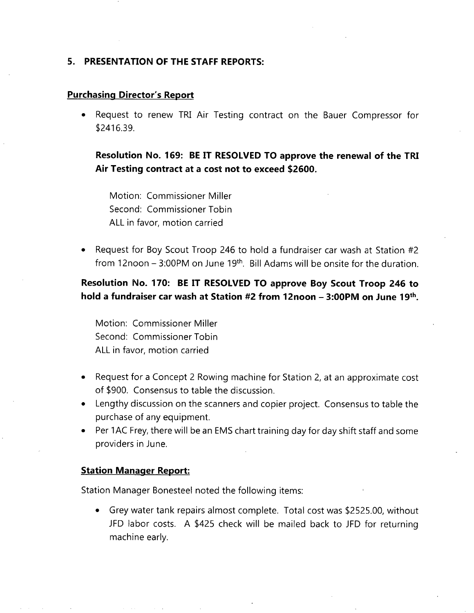### **5. PRESENTATION OF THE STAFF REPORTS:**

#### **Purchasing Director's Report**

• Request to renew TRI Air Testing contract on the Bauer Compressor for \$2416.39.

**Resolution No. 169: BE IT RESOLVED TO approve the renewal of the TRI Air Testing contract at a cost not to exceed \$2600.**

Motion: Commissioner Miller Second: Commissioner Tobin ALL in favor, motion carried

• Request for Boy Scout Troop 246 to hold a fundraiser car wash at Station #2 from 12noon  $-$  3:00PM on June 19<sup>th</sup>. Bill Adams will be onsite for the duration.

# **Resolution No. 170: BE IT RESOLVED TO approve Boy Scout Troop 246 to hold <sup>a</sup> fundraiser car wash at Station #2 from 12noon - 3:00PM on June 19th.**

Motion: Commissioner Miller Second: Commissioner Tobin ALL in favor, motion carried

- Request for <sup>a</sup> Concept 2 Rowing machine for Station 2, at an approximate cost of \$900. Consensus to table the discussion.
- Lengthy discussion on the scanners and copier project. Consensus to table the purchase of any equipment.
- Per 1AC Frey, there will be an EMS chart training day for day shift staff and some providers in June.

#### **Station Manager Report:**

Station Manager Bonesteel noted the following items:

• Grey water tank repairs almost complete. Total cost was \$2525.00, without JFD labor costs. A \$425 check will be mailed back to JFD for returning machine early.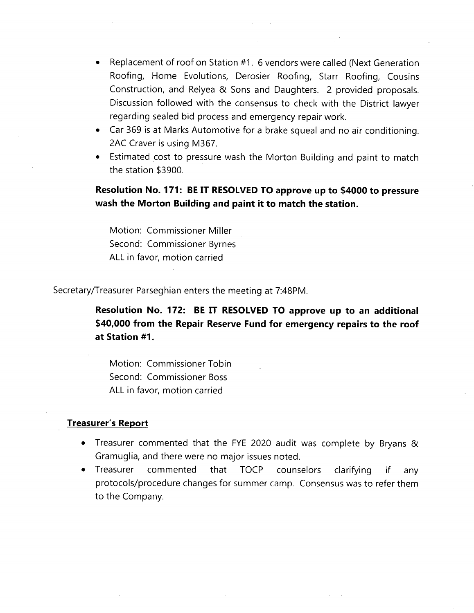- Replacement of roof on Station #1. 6 vendors were called (Next Generation Roofing, Home Evolutions, Derosier Roofing, Starr Roofing, Cousins Construction, and Relyea & Sons and Daughters. 2 provided proposals. Discussion followed with the consensus to check with the District lawyer regarding sealed bid process and emergency repair work.
- Car 369 is at Marks Automotive for a brake squeal and no air conditioning. 2AC Craver is using M367.
- Estimated cost to pressure wash the Morton Building and paint to match the station \$3900.

**Resolution No. 171: BE IT RESOLVED TO approve up to \$4000 to pressure wash the Morton Building and paint it to match the station.**

Motion: Commissioner Miller Second: Commissioner Byrnes ALL in favor, motion carried

Secretary/Treasurer Parseghian enters the meeting at 7:48PM.

**BE IT RESOLVED TO approve up to an additional Resolution No. 172: \$40,000 from the Repair Reserve Fund for emergency repairs to the roof at Station #1.**

Motion: Commissioner Tobin Second: Commissioner Boss ALL in favor, motion carried

#### **Treasurer's Report**

- Treasurer commented that the FYE 2020 audit was complete by Bryans & Gramuglia, and there were no major issues noted.
- Treasurer commented that TOCP counselors clarifying if any protocols/procedure changes for summer camp. Consensus was to refer them to the Company.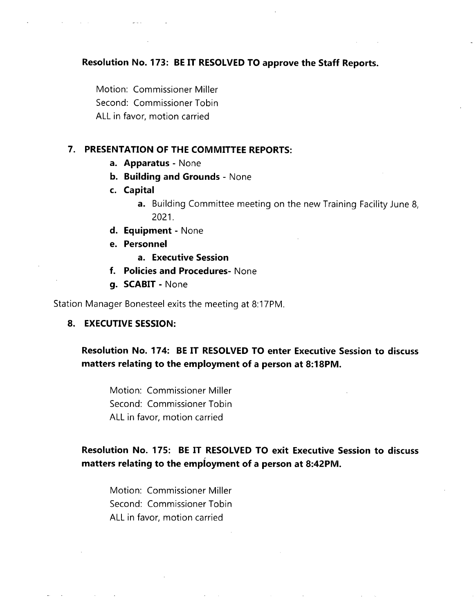### **Resolution No. 173: BE IT RESOLVED TO approve the Staff Reports.**

Motion: Commissioner Miller Second: Commissioner Tobin ALL in favor, motion carried

### **7. PRESENTATION OF THE COMMITTEE REPORTS:**

- **a. Apparatus** None
- **b. Building and Grounds** None
- **c. Capital**
	- **a.** Building Committee meeting on the new Training Facility June 8, 2021.
- **d. Equipment** None
- **e. Personnel**
	- **a. Executive Session**
- **f. Policies and Procedures-** None
- **g. SCABIT** None

Station Manager Bonesteel exits the meeting at 8:17PM.

### **8. EXECUTIVE SESSION:**

### **Resolution No. 174: BE IT RESOLVED TO enter Executive Session to discuss matters relating to the employment of a person at 8:18PM.**

Motion: Commissioner Miller Second: Commissioner Tobin ALL in favor, motion carried

## **Resolution No. 175: BE IT RESOLVED TO exit Executive Session to discuss matters relating to the employment of a person at 8:42PM.**

Motion: Commissioner Miller Second: Commissioner Tobin ALL in favor, motion carried